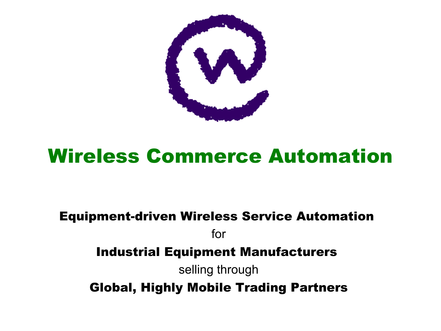

# Wireless Commerce Automation

### Equipment-driven Wireless Service Automation for Industrial Equipment Manufacturers selling through Global, Highly Mobile Trading Partners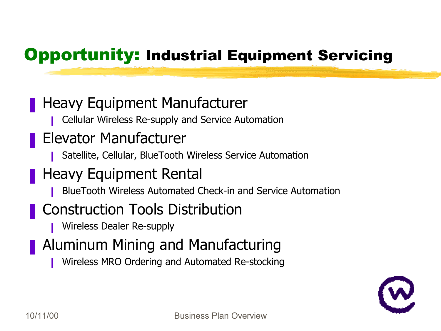### ❚ Heavy Equipment Manufacturer

❙ Cellular Wireless Re-supply and Service Automation

## ■ Elevator Manufacturer

- Satellite, Cellular, BlueTooth Wireless Service Automation
- Heavy Equipment Rental
	- ❙ BlueTooth Wireless Automated Check-in and Service Automation
- Construction Tools Distribution
	- ❙ Wireless Dealer Re-supply
- **Aluminum Mining and Manufacturing** 
	- Wireless MRO Ordering and Automated Re-stocking

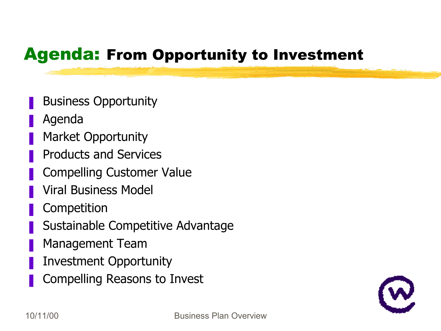## Agenda: From Opportunity to Investment

- **Business Opportunity**
- **Agenda**
- Market Opportunity
- ❚ Products and Services
- ❚ Compelling Customer Value
- ❚ Viral Business Model
- **Competition**
- Sustainable Competitive Advantage
- Management Team
- Investment Opportunity
- ❚ Compelling Reasons to Invest

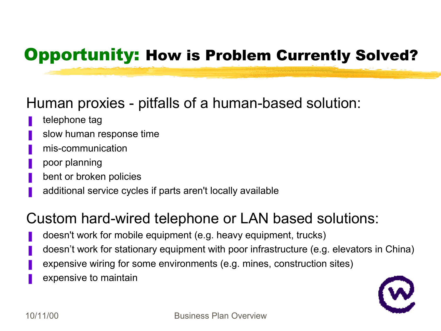## Opportunity: How is Problem Currently Solved?

### Human proxies - pitfalls of a human-based solution:

- telephone tag
- slow human response time
- mis-communication
- ❚ poor planning
- bent or broken policies
- additional service cycles if parts aren't locally available

### Custom hard-wired telephone or LAN based solutions:

- doesn't work for mobile equipment (e.g. heavy equipment, trucks)
- doesn't work for stationary equipment with poor infrastructure (e.g. elevators in China)
- expensive wiring for some environments (e.g. mines, construction sites)
- expensive to maintain

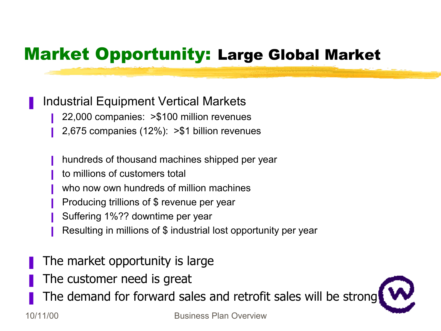## Market Opportunity: Large Global Market

### ❚ Industrial Equipment Vertical Markets

- 22,000 companies: >\$100 million revenues
- ❙ 2,675 companies (12%): >\$1 billion revenues
- hundreds of thousand machines shipped per year
- to millions of customers total
- who now own hundreds of million machines
- **■** Producing trillions of \$ revenue per year
- Suffering 1%?? downtime per year
- Resulting in millions of \$ industrial lost opportunity per year
- The market opportunity is large
- The customer need is great
- The demand for forward sales and retrofit sales will be strong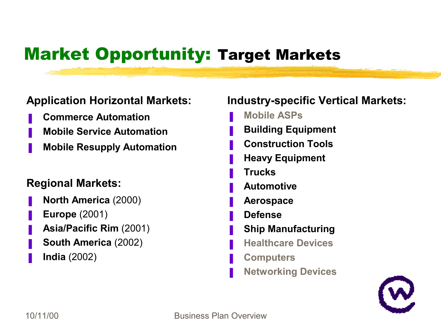## Market Opportunity: Target Markets

### **Application Horizontal Markets:**

- ❚ **Commerce Automation**
- ❚ **Mobile Service Automation**
- ❚ **Mobile Resupply Automation**

### **Regional Markets:**

- ❚ **North America** (2000)
- ❚ **Europe** (2001)
- ❚ **Asia/Pacific Rim** (2001)
- ❚ **South America** (2002)
- ❚ **India** (2002)

### **Industry-specific Vertical Markets:**

- ❚ **Mobile ASPs**
- ❚ **Building Equipment**
- ❚ **Construction Tools**
- ❚ **Heavy Equipment**
- ❚ **Trucks**
- ❚ **Automotive**
- ❚ **Aerospace**
- ❚ **Defense**
- ❚ **Ship Manufacturing**
- ❚ **Healthcare Devices**
- ❚ **Computers**
- ❚ **Networking Devices**

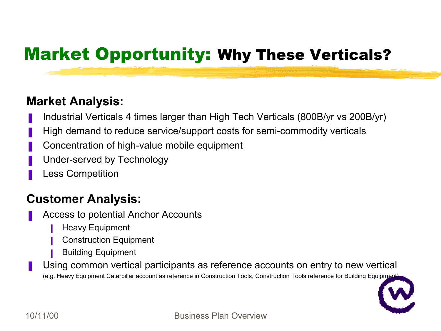## Market Opportunity: Why These Verticals?

### **Market Analysis:**

- ❚ Industrial Verticals 4 times larger than High Tech Verticals (800B/yr vs 200B/yr)
- High demand to reduce service/support costs for semi-commodity verticals
- ❚ Concentration of high-value mobile equipment
- Under-served by Technology
- Less Competition

### **Customer Analysis:**

- ❚ Access to potential Anchor Accounts
	- **Heavy Equipment**
	- Construction Equipment
	- ❙ Building Equipment
- Using common vertical participants as reference accounts on entry to new vertical (e.g. Heavy Equipment Caterpillar account as reference in Construction Tools, Construction Tools reference for Building Equipment)

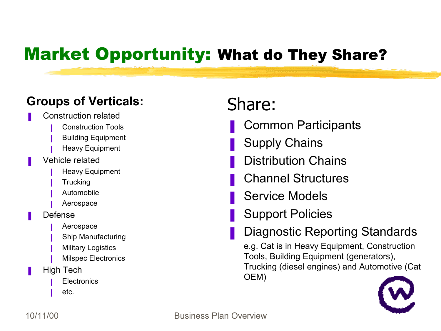## Market Opportunity: What do They Share?

### **Groups of Verticals:**

- Construction related
	- **■** Construction Tools
	- **Building Equipment**
	- **Heavy Equipment**
- Vehicle related
	- **Heavy Equipment**
	- **■** Trucking
	- **■** Automobile
	- **Aerospace**
- Defense
	- **I** Aerospace
	- **Ship Manufacturing**
	- **■** Military Logistics
	- **■** Milspec Electronics
- **■** High Tech
	- **Electronics**
	- etc.

## Share:

- ❚ Common Participants
- Supply Chains
- Distribution Chains
- ❚ Channel Structures
- Service Models
- **Support Policies**
- Diagnostic Reporting Standards

e.g. Cat is in Heavy Equipment, Construction Tools, Building Equipment (generators), Trucking (diesel engines) and Automotive (Cat OEM)

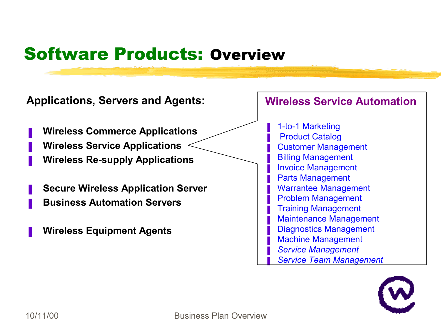## Software Products: Overview



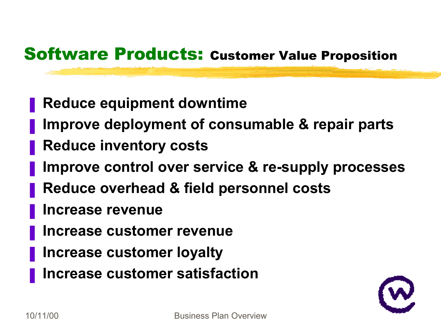## Software Products: Customer Value Proposition

- ❚ **Reduce equipment downtime**
- ❚ **Improve deployment of consumable & repair parts**
- ❚ **Reduce inventory costs**
- ❚ **Improve control over service & re-supply processes**
- ❚ **Reduce overhead & field personnel costs**
- ❚ **Increase revenue**
- ❚ **Increase customer revenue**
- ❚ **Increase customer loyalty**
- ❚ **Increase customer satisfaction**

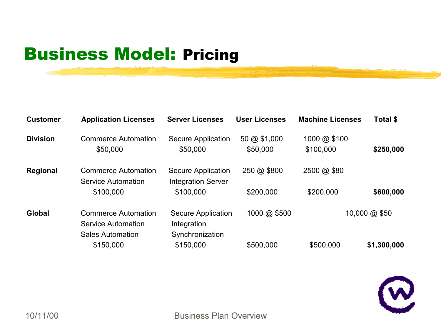## Business Model: Pricing

| <b>Customer</b> | <b>Application Licenses</b>                                                 | <b>Server Licenses</b>                                      | <b>User Licenses</b>               | <b>Machine Licenses</b>   | Total \$      |
|-----------------|-----------------------------------------------------------------------------|-------------------------------------------------------------|------------------------------------|---------------------------|---------------|
| <b>Division</b> | <b>Commerce Automation</b><br>\$50,000                                      | <b>Secure Application</b><br>\$50,000                       | $50 \text{ @ } $1,000$<br>\$50,000 | 1000 @ \$100<br>\$100,000 | \$250,000     |
| <b>Regional</b> | <b>Commerce Automation</b><br>Service Automation                            | Secure Application<br><b>Integration Server</b>             | 250 @ \$800                        | 2500 @ \$80               |               |
|                 | \$100,000                                                                   | \$100,000                                                   | \$200,000                          | \$200,000                 | \$600,000     |
| <b>Global</b>   | <b>Commerce Automation</b><br>Service Automation<br><b>Sales Automation</b> | <b>Secure Application</b><br>Integration<br>Synchronization | 1000 @ \$500                       |                           | 10,000 @ \$50 |
|                 | \$150,000                                                                   | \$150,000                                                   | \$500,000                          | \$500,000                 | \$1,300,000   |

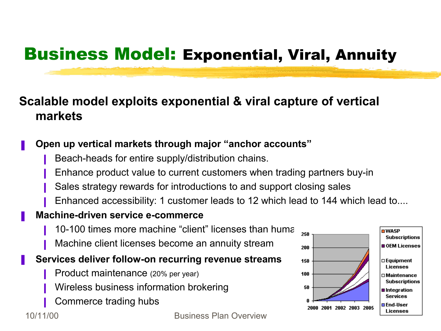## Business Model: Exponential, Viral, Annuity

### **Scalable model exploits exponential & viral capture of vertical markets**

### ❚ **Open up vertical markets through major "anchor accounts"**

- Beach-heads for entire supply/distribution chains.
- Enhance product value to current customers when trading partners buy-in
- Sales strategy rewards for introductions to and support closing sales
- Enhanced accessibility: 1 customer leads to 12 which lead to 144 which lead to....
- ❚ **Machine-driven service e-commerce**
	- 10-100 times more machine "client" licenses than huma  $_{250}$
	- Machine client licenses become an annuity stream

### ❚ **Services deliver follow-on recurring revenue streams**

- Product maintenance (20% per year)
- Wireless business information brokering
- Commerce trading hubs



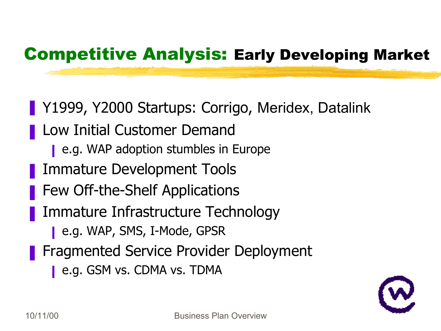## Competitive Analysis: Early Developing Market

- Y1999, Y2000 Startups: Corrigo, Meridex, Datalink
- Low Initial Customer Demand
	- **e.g. WAP adoption stumbles in Europe**
- ❚ Immature Development Tools
- Few Off-the-Shelf Applications
- Immature Infrastructure Technology
	- e.g. WAP, SMS, I-Mode, GPSR
- ❚ Fragmented Service Provider Deployment
	- e.g. GSM vs. CDMA vs. TDMA

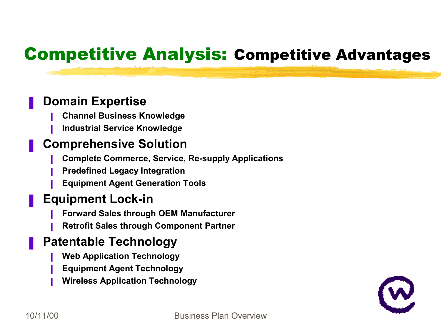## Competitive Analysis: Competitive Advantages

### ❚ **Domain Expertise**

- ❙ **Channel Business Knowledge**
- ❙ **Industrial Service Knowledge**

### ❚ **Comprehensive Solution**

- ❙ **Complete Commerce, Service, Re-supply Applications**
- ❙ **Predefined Legacy Integration**
- ❙ **Equipment Agent Generation Tools**

### ❚ **Equipment Lock-in**

- ❙ **Forward Sales through OEM Manufacturer**
- ❙ **Retrofit Sales through Component Partner**

### ❚ **Patentable Technology**

- ❙ **Web Application Technology**
- ❙ **Equipment Agent Technology**
- ❙ **Wireless Application Technology**

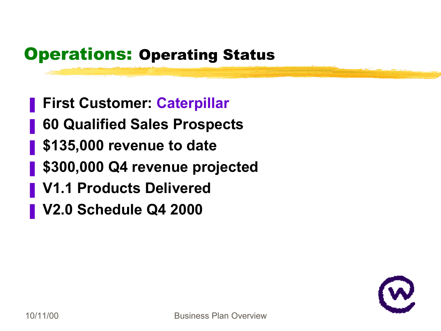## **Operations: Operating Status**

- ❚ **First Customer: Caterpillar**
- ❚ **60 Qualified Sales Prospects**
- ❚ **\$135,000 revenue to date**
- ❚ **\$300,000 Q4 revenue projected**
- ❚ **V1.1 Products Delivered**
- ❚ **V2.0 Schedule Q4 2000**

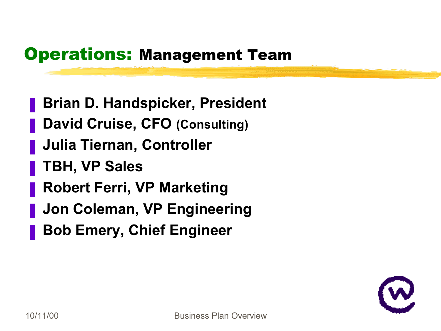### Operations: Management Team

- ❚ **Brian D. Handspicker, President**
- ❚ **David Cruise, CFO (Consulting)**
- ❚ **Julia Tiernan, Controller**
- ❚ **TBH, VP Sales**
- ❚ **Robert Ferri, VP Marketing**
- ❚ **Jon Coleman, VP Engineering**
- ❚ **Bob Emery, Chief Engineer**

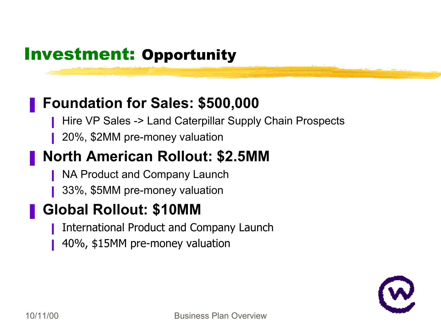## Investment: Opportunity

### ❚ **Foundation for Sales: \$500,000**

- Hire VP Sales -> Land Caterpillar Supply Chain Prospects
- ❙ 20%, \$2MM pre-money valuation

### ❚ **North American Rollout: \$2.5MM**

- **NA Product and Company Launch**
- ❙ 33%, \$5MM pre-money valuation

## ❚ **Global Rollout: \$10MM**

- ❙ International Product and Company Launch
- 40%, \$15MM pre-money valuation

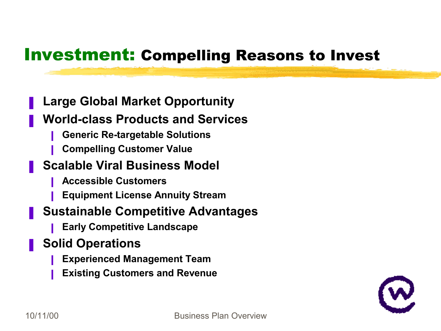### Investment: Compelling Reasons to Invest

### ❚ **Large Global Market Opportunity**

### ❚ **World-class Products and Services**

- ❙ **Generic Re-targetable Solutions**
- ❙ **Compelling Customer Value**

### ❚ **Scalable Viral Business Model**

- ❙ **Accessible Customers**
- ❙ **Equipment License Annuity Stream**

### ❚ **Sustainable Competitive Advantages**

❙ **Early Competitive Landscape**

### ❚ **Solid Operations**

- ❙ **Experienced Management Team**
- ❙ **Existing Customers and Revenue**

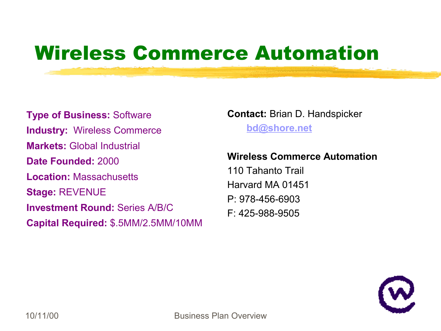# Wireless Commerce Automation

**Type of Business:** Software **Industry:** Wireless Commerce **Markets:** Global Industrial **Date Founded:** 2000 **Location:** Massachusetts **Stage:** REVENUE **Investment Round:** Series A/B/C **Capital Required:** \$.5MM/2.5MM/10MM **Contact:** Brian D. Handspicker **[bd@shore.net](mailto:bd@shore.net)**

### **Wireless Commerce Automation**

110 Tahanto Trail Harvard MA 01451 P: 978-456-6903 F: 425-988-9505

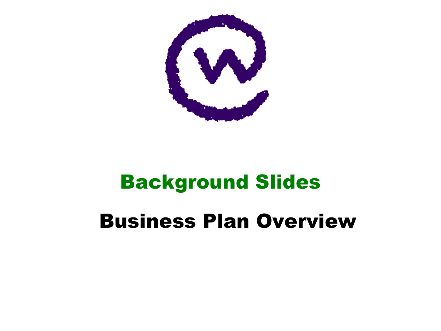

# Background Slides

# Business Plan Overview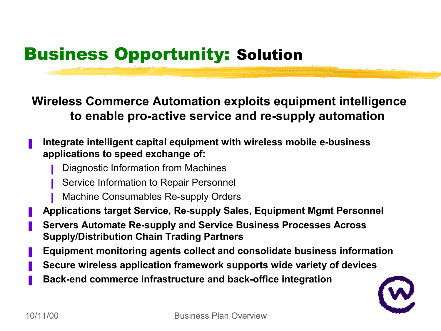## Business Opportunity: Solution

**Wireless Commerce Automation exploits equipment intelligence to enable pro-active service and re-supply automation**

### ❚ **Integrate intelligent capital equipment with wireless mobile e-business applications to speed exchange of:**

- **■** Diagnostic Information from Machines
- **Service Information to Repair Personnel**
- **Machine Consumables Re-supply Orders**
- ❚ **Applications target Service, Re-supply Sales, Equipment Mgmt Personnel**
- ❚ **Servers Automate Re-supply and Service Business Processes Across Supply/Distribution Chain Trading Partners**
- ❚ **Equipment monitoring agents collect and consolidate business information**
- ❚ **Secure wireless application framework supports wide variety of devices**
- ❚ **Back-end commerce infrastructure and back-office integration**

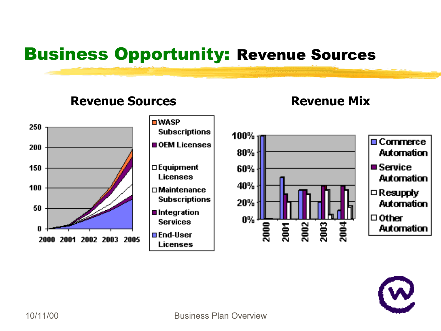## Business Opportunity: Revenue Sources

### **Revenue Sources Revenue Mix**



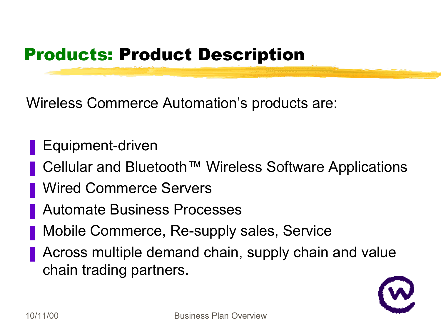## Products: Product Description

Wireless Commerce Automation's products are:

- Equipment-driven
- Cellular and Bluetooth™ Wireless Software Applications
- Wired Commerce Servers
- ❚ Automate Business Processes
- Mobile Commerce, Re-supply sales, Service
- Across multiple demand chain, supply chain and value chain trading partners.

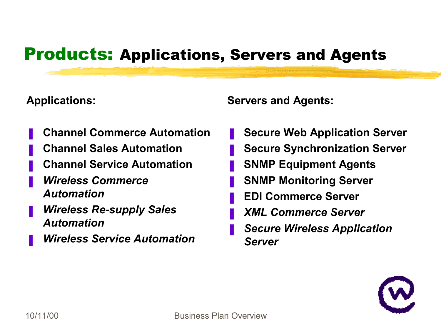### Products: Applications, Servers and Agents

### **Applications:**

- ❚ **Channel Commerce Automation**
- ❚ **Channel Sales Automation**
- ❚ **Channel Service Automation**
- ❚ *Wireless Commerce Automation*
- ❚ *Wireless Re-supply Sales Automation*
- ❚ *Wireless Service Automation*

**Servers and Agents:**

- ❚ **Secure Web Application Server**
- ❚ **Secure Synchronization Server**
- ❚ **SNMP Equipment Agents**
- ❚ **SNMP Monitoring Server**
- ❚ **EDI Commerce Server**
- ❚ *XML Commerce Server*
- ❚ *Secure Wireless Application Server*

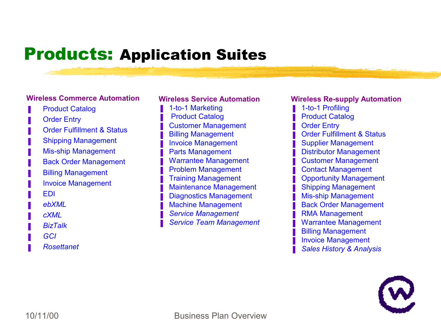### Products: Application Suites

### **Wireless Commerce Automation**

- **Product Catalog**
- **Order Entry**
- Order Fulfillment & Status
- **Shipping Management**
- Mis-ship Management
- **Back Order Management**
- **Billing Management**
- ❚ Invoice Management
- ❚ EDI
- ❚ *ebXML*
- ❚ *cXML*
- ❚ *BizTalk*
- ❚ *GCI*
- ❚ *Rosettanet*

### **Wireless Service Automation**

- 1-to-1 Marketing
- **Product Catalog**
- **Customer Management**
- **Billing Management**
- ❚ Invoice Management
- Parts Management
- Warrantee Management
- Problem Management
- ❚ Training Management
- Maintenance Management
- Diagnostics Management
- Machine Management
- ❚ *Service Management*
- ❚ *Service Team Management*

### **Wireless Re-supply Automation**

- 1-to-1 Profiling
- **Product Catalog**
- **Order Entry**
- **Order Fulfillment & Status**
- Supplier Management
- Distributor Management
- Customer Management
- Contact Management
- Opportunity Management
- Shipping Management
- Mis-ship Management
- **Back Order Management**
- **RMA Management**
- Warrantee Management
- **Billing Management**
- Invoice Management
- ❚ *Sales History & Analysis*

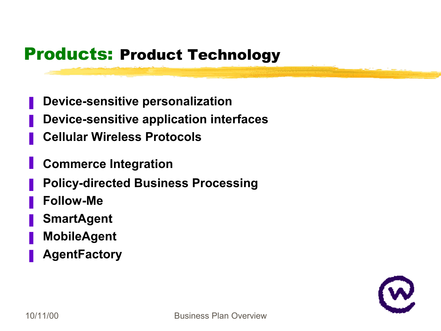### Products: Product Technology

- ❚ **Device-sensitive personalization**
- ❚ **Device-sensitive application interfaces**
- ❚ **Cellular Wireless Protocols**
- ❚ **Commerce Integration**
- ❚ **Policy-directed Business Processing**
- ❚ **Follow-Me**
- ❚ **SmartAgent**
- ❚ **MobileAgent**
- ❚ **AgentFactory**

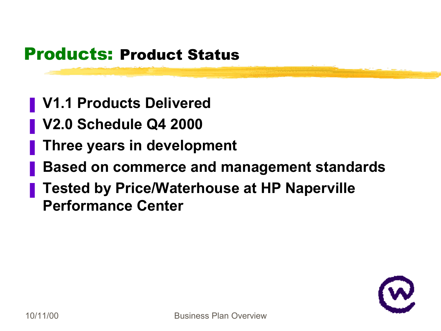### Products: Product Status

- ❚ **V1.1 Products Delivered**
- ❚ **V2.0 Schedule Q4 2000**
- ❚ **Three years in development**
- ❚ **Based on commerce and management standards**
- ❚ **Tested by Price/Waterhouse at HP Naperville Performance Center**

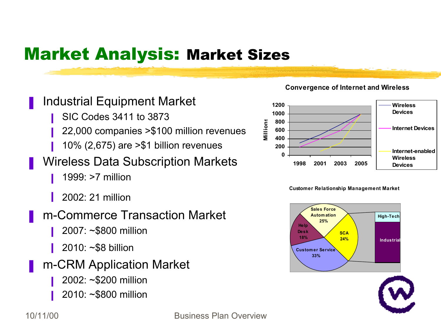## Market Analysis: Market Sizes

### **■** Industrial Equipment Market

- ❙ SIC Codes 3411 to 3873
- **22,000 companies > \$100 million revenues**
- ❙ 10% (2,675) are >\$1 billion revenues

### ■ Wireless Data Subscription Markets

- $\blacksquare$  1999: >7 million
- $2002:21$  million

### ❚ m-Commerce Transaction Market

- **2007: ~\$800 million**
- ❙ 2010: ~\$8 billion
- m-CRM Application Market
	- ❙ 2002: ~\$200 million
	- 2010: ~\$800 million





**Customer Relationship Management Market**



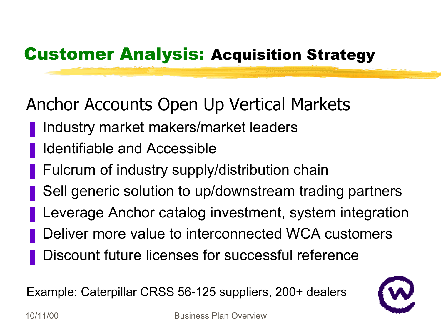## Customer Analysis: Acquisition Strategy

## Anchor Accounts Open Up Vertical Markets

- Industry market makers/market leaders
- ❚ Identifiable and Accessible
- Fulcrum of industry supply/distribution chain
- Sell generic solution to up/downstream trading partners
- Leverage Anchor catalog investment, system integration
- Deliver more value to interconnected WCA customers
- Discount future licenses for successful reference

Example: Caterpillar CRSS 56-125 suppliers, 200+ dealers

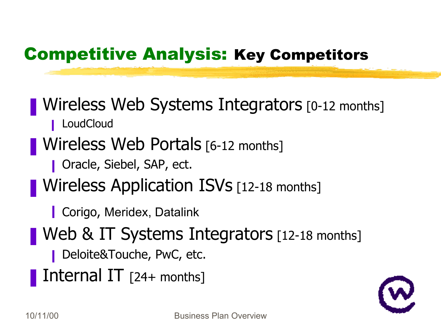## Competitive Analysis: Key Competitors

## **Nireless Web Systems Integrators** [0-12 months]

■ LoudCloud

## ■ Wireless Web Portals [6-12 months]

- Oracle, Siebel, SAP, ect.
- **Nireless Application ISVs** [12-18 months]
	- Corigo, Meridex, Datalink
- Web & IT Systems Integrators [12-18 months]
	- Deloite&Touche, PwC, etc.
- **Ternal IT** [24+ months]

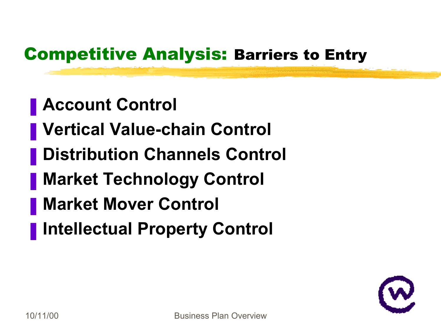## Competitive Analysis: Barriers to Entry

- ❚ **Account Control**
- ❚ **Vertical Value-chain Control**
- ❚ **Distribution Channels Control**
- ❚ **Market Technology Control**
- ❚ **Market Mover Control**
- ❚ **Intellectual Property Control**

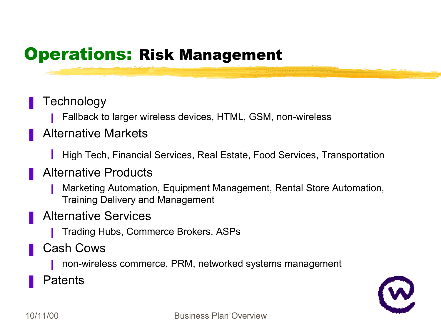### Operations: Risk Management

### **Technology**

**■** Fallback to larger wireless devices, HTML, GSM, non-wireless

### ❚ Alternative Markets

**I** High Tech, Financial Services, Real Estate, Food Services, Transportation

### ❚ Alternative Products

- **■** Marketing Automation, Equipment Management, Rental Store Automation, Training Delivery and Management
- Alternative Services
	- **Trading Hubs, Commerce Brokers, ASPs**
- ❚ Cash Cows
	- **■** non-wireless commerce, PRM, networked systems management
- **Patents**

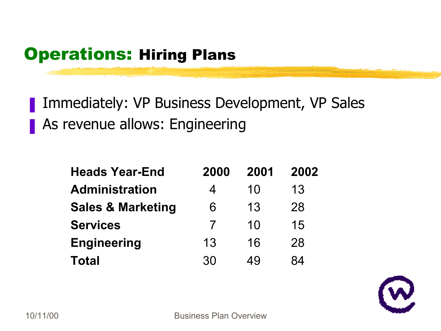## Operations: Hiring Plans

- Immediately: VP Business Development, VP Sales
- As revenue allows: Engineering

| <b>Heads Year-End</b>        | 2000 | 2001 | 2002 |
|------------------------------|------|------|------|
| <b>Administration</b>        | 4    | 10   | 13   |
| <b>Sales &amp; Marketing</b> | 6    | 13   | 28   |
| <b>Services</b>              |      | 10   | 15   |
| <b>Engineering</b>           | 13   | 16   | 28   |
| Total                        | 30   | 49   | 84   |

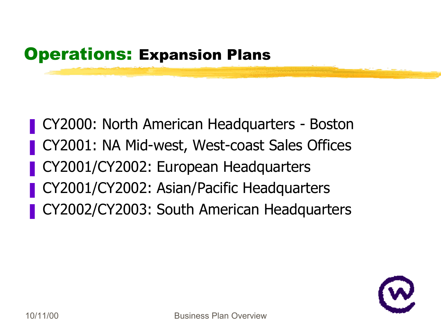## **Operations: Expansion Plans**

- CY2000: North American Headquarters Boston
- CY2001: NA Mid-west, West-coast Sales Offices
- ❚ CY2001/CY2002: European Headquarters
- ❚ CY2001/CY2002: Asian/Pacific Headquarters
- ❚ CY2002/CY2003: South American Headquarters

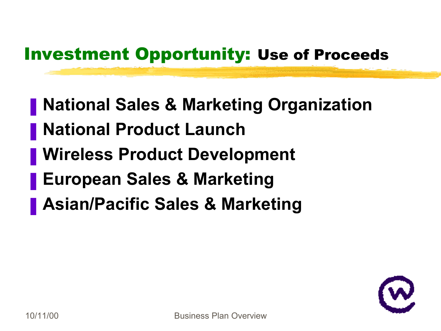## Investment Opportunity: Use of Proceeds

- ❚ **National Sales & Marketing Organization**
- ❚ **National Product Launch**
- ❚ **Wireless Product Development**
- ❚ **European Sales & Marketing**
- ❚ **Asian/Pacific Sales & Marketing**

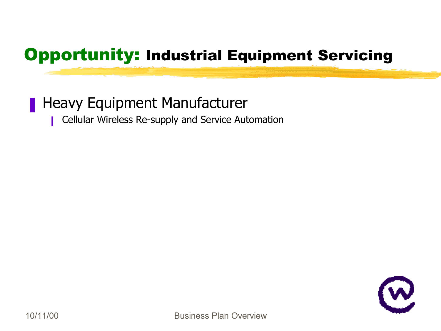### ■ Heavy Equipment Manufacturer

■ Cellular Wireless Re-supply and Service Automation

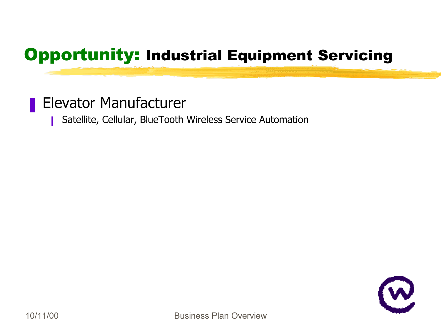### ❚ Elevator Manufacturer

■ Satellite, Cellular, BlueTooth Wireless Service Automation

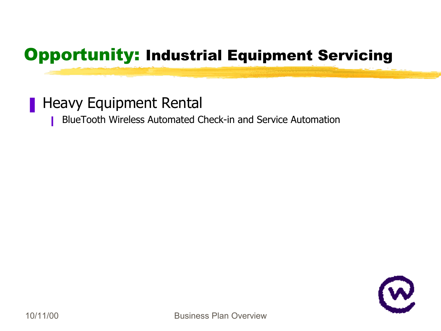### ■ Heavy Equipment Rental

■ BlueTooth Wireless Automated Check-in and Service Automation